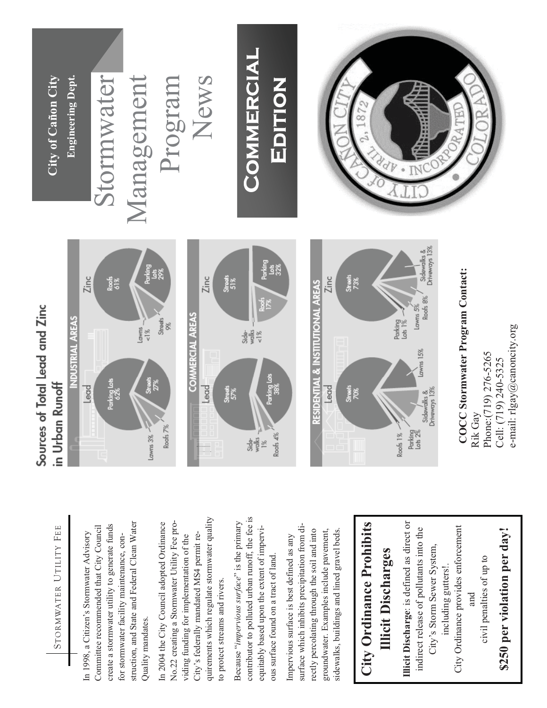